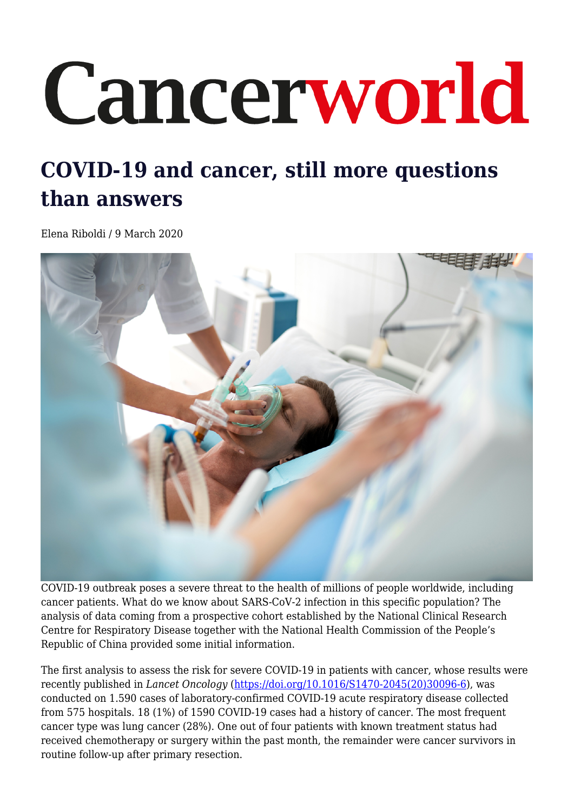## Cancerworld

## **COVID-19 and cancer, still more questions than answers**

Elena Riboldi / 9 March 2020



COVID-19 outbreak poses a severe threat to the health of millions of people worldwide, including cancer patients. What do we know about SARS-CoV-2 infection in this specific population? The analysis of data coming from a prospective cohort established by the National Clinical Research Centre for Respiratory Disease together with the National Health Commission of the People's Republic of China provided some initial information.

The first analysis to assess the risk for severe COVID-19 in patients with cancer, whose results were recently published in *Lancet Oncology* [\(https://doi.org/10.1016/S1470-2045\(20\)30096-6\)](https://doi.org/10.1016/S1470-2045(20)30096-6), was conducted on 1.590 cases of laboratory-confirmed COVID-19 acute respiratory disease collected from 575 hospitals. 18 (1%) of 1590 COVID-19 cases had a history of cancer. The most frequent cancer type was lung cancer (28%). One out of four patients with known treatment status had received chemotherapy or surgery within the past month, the remainder were cancer survivors in routine follow-up after primary resection.